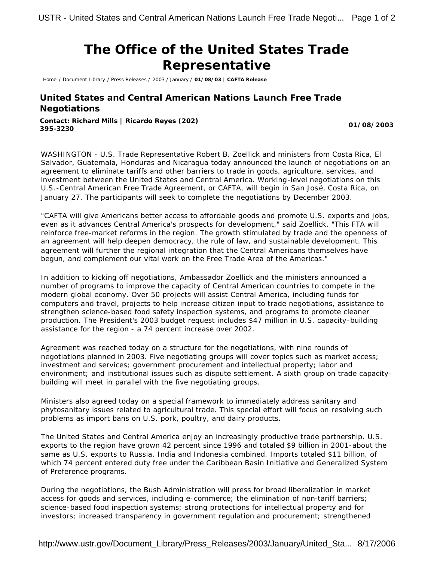## **The Office of the United States Trade Representative**

Home / Document Library / Press Releases / 2003 / January / **01/08/03 | CAFTA Release**

## **United States and Central American Nations Launch Free Trade Negotiations**

**Contact: Richard Mills | Ricardo Reyes (202) 395-3230 01/08/2003**

WASHINGTON - U.S. Trade Representative Robert B. Zoellick and ministers from Costa Rica, El Salvador, Guatemala, Honduras and Nicaragua today announced the launch of negotiations on an agreement to eliminate tariffs and other barriers to trade in goods, agriculture, services, and investment between the United States and Central America. Working-level negotiations on this U.S.-Central American Free Trade Agreement, or CAFTA, will begin in San José, Costa Rica, on January 27. The participants will seek to complete the negotiations by December 2003.

"CAFTA will give Americans better access to affordable goods and promote U.S. exports and jobs, even as it advances Central America's prospects for development," said Zoellick. "This FTA will reinforce free-market reforms in the region. The growth stimulated by trade and the openness of an agreement will help deepen democracy, the rule of law, and sustainable development. This agreement will further the regional integration that the Central Americans themselves have begun, and complement our vital work on the Free Trade Area of the Americas."

In addition to kicking off negotiations, Ambassador Zoellick and the ministers announced a number of programs to improve the capacity of Central American countries to compete in the modern global economy. Over 50 projects will assist Central America, including funds for computers and travel, projects to help increase citizen input to trade negotiations, assistance to strengthen science-based food safety inspection systems, and programs to promote cleaner production. The President's 2003 budget request includes \$47 million in U.S. capacity-building assistance for the region - a 74 percent increase over 2002.

Agreement was reached today on a structure for the negotiations, with nine rounds of negotiations planned in 2003. Five negotiating groups will cover topics such as market access; investment and services; government procurement and intellectual property; labor and environment; and institutional issues such as dispute settlement. A sixth group on trade capacitybuilding will meet in parallel with the five negotiating groups.

Ministers also agreed today on a special framework to immediately address sanitary and phytosanitary issues related to agricultural trade. This special effort will focus on resolving such problems as import bans on U.S. pork, poultry, and dairy products.

The United States and Central America enjoy an increasingly productive trade partnership. U.S. exports to the region have grown 42 percent since 1996 and totaled \$9 billion in 2001-about the same as U.S. exports to Russia, India and Indonesia combined. Imports totaled \$11 billion, of which 74 percent entered duty free under the Caribbean Basin Initiative and Generalized System of Preference programs.

During the negotiations, the Bush Administration will press for broad liberalization in market access for goods and services, including e-commerce; the elimination of non-tariff barriers; science-based food inspection systems; strong protections for intellectual property and for investors; increased transparency in government regulation and procurement; strengthened